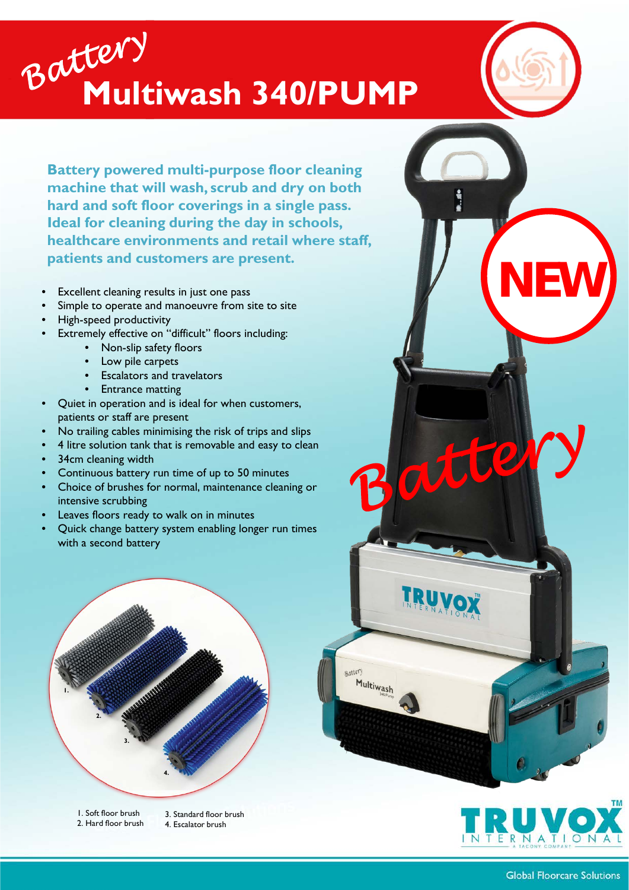## **Multiwash 340/PUMP**

**Battery powered multi-purpose floor cleaning machine that will wash, scrub and dry on both hard and soft floor coverings in a single pass. Ideal for cleaning during the day in schools, healthcare environments and retail where staff, patients and customers are present.**

- Excellent cleaning results in just one pass
- Simple to operate and manoeuvre from site to site
- High-speed productivity
- Extremely effective on "difficult" floors including:
	- Non-slip safety floors
	- **Low pile carpets**
	- Escalators and travelators
	- **Entrance matting**
- Quiet in operation and is ideal for when customers, patients or staff are present
- No trailing cables minimising the risk of trips and slips
- 4 litre solution tank that is removable and easy to clean
- 34cm cleaning width
- Continuous battery run time of up to 50 minutes
- Choice of brushes for normal, maintenance cleaning or intensive scrubbing
- Leaves floors ready to walk on in minutes
- Quick change battery system enabling longer run times with a second battery



2. Hard floor brush

4. Escalator brush



**NEW**

atte

**Battery** 

Multiwash